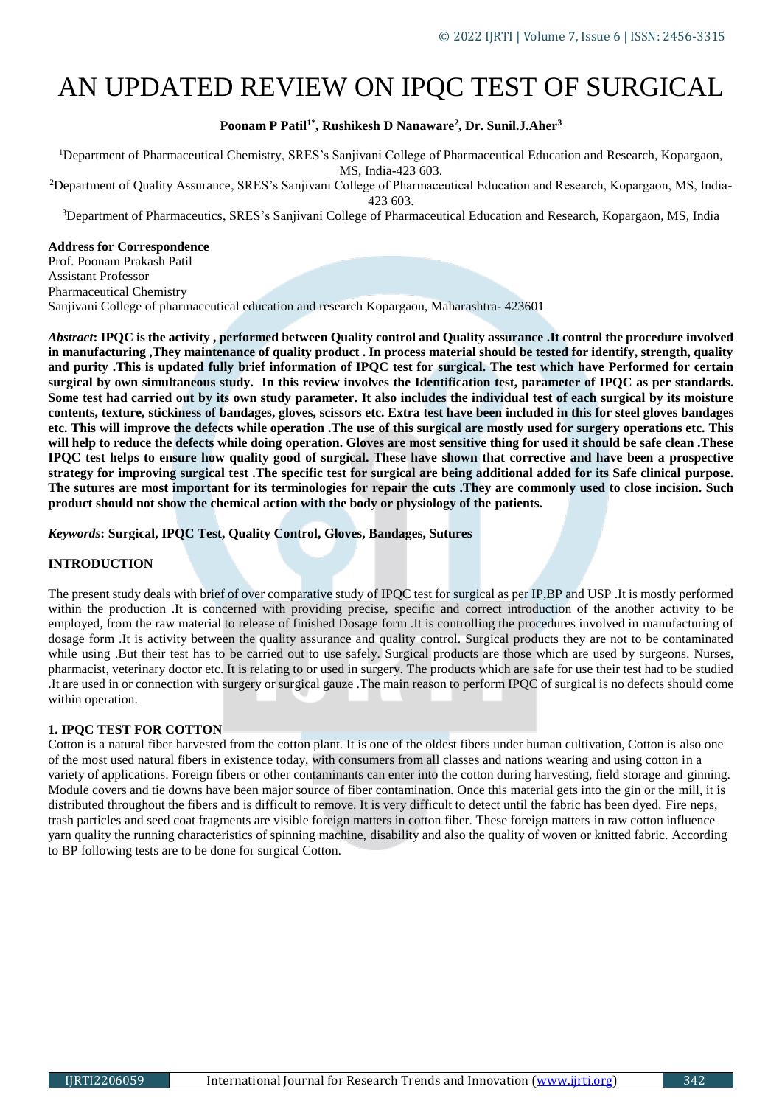# AN UPDATED REVIEW ON IPQC TEST OF SURGICAL

## **Poonam P Patil1\* , Rushikesh D Nanaware<sup>2</sup> , Dr. Sunil.J.Aher<sup>3</sup>**

<sup>1</sup>Department of Pharmaceutical Chemistry, SRES's Sanjivani College of Pharmaceutical Education and Research, Kopargaon, MS, India-423 603.

<sup>2</sup>Department of Quality Assurance, SRES's Sanjivani College of Pharmaceutical Education and Research, Kopargaon, MS, India-423 603.

<sup>3</sup>Department of Pharmaceutics, SRES's Sanjivani College of Pharmaceutical Education and Research, Kopargaon, MS, India

## **Address for Correspondence**

Prof. Poonam Prakash Patil Assistant Professor Pharmaceutical Chemistry Sanjivani College of pharmaceutical education and research Kopargaon, Maharashtra- 423601

*Abstract***: IPQC is the activity , performed between Quality control and Quality assurance .It control the procedure involved in manufacturing ,They maintenance of quality product . In process material should be tested for identify, strength, quality and purity .This is updated fully brief information of IPQC test for surgical. The test which have Performed for certain surgical by own simultaneous study. In this review involves the Identification test, parameter of IPQC as per standards. Some test had carried out by its own study parameter. It also includes the individual test of each surgical by its moisture contents, texture, stickiness of bandages, gloves, scissors etc. Extra test have been included in this for steel gloves bandages etc. This will improve the defects while operation .The use of this surgical are mostly used for surgery operations etc. This will help to reduce the defects while doing operation. Gloves are most sensitive thing for used it should be safe clean .These IPQC test helps to ensure how quality good of surgical. These have shown that corrective and have been a prospective strategy for improving surgical test .The specific test for surgical are being additional added for its Safe clinical purpose. The sutures are most important for its terminologies for repair the cuts .They are commonly used to close incision. Such product should not show the chemical action with the body or physiology of the patients.**

*Keywords***: Surgical, IPQC Test, Quality Control, Gloves, Bandages, Sutures**

## **INTRODUCTION**

The present study deals with brief of over comparative study of IPQC test for surgical as per IP,BP and USP .It is mostly performed within the production .It is concerned with providing precise, specific and correct introduction of the another activity to be employed, from the raw material to release of finished Dosage form .It is controlling the procedures involved in manufacturing of dosage form .It is activity between the quality assurance and quality control. Surgical products they are not to be contaminated while using .But their test has to be carried out to use safely. Surgical products are those which are used by surgeons. Nurses, pharmacist, veterinary doctor etc. It is relating to or used in surgery. The products which are safe for use their test had to be studied .It are used in or connection with surgery or surgical gauze .The main reason to perform IPQC of surgical is no defects should come within operation.

## **1. IPQC TEST FOR COTTON**

Cotton is a natural fiber harvested from the cotton plant. It is one of the oldest fibers under human cultivation, Cotton is also one of the most used natural fibers in existence today, with consumers from all classes and nations wearing and using cotton in a variety of applications. Foreign fibers or other contaminants can enter into the cotton during harvesting, field storage and ginning. Module covers and tie downs have been major source of fiber contamination. Once this material gets into the gin or the mill, it is distributed throughout the fibers and is difficult to remove. It is very difficult to detect until the fabric has been dyed. Fire neps, trash particles and seed coat fragments are visible foreign matters in cotton fiber. These foreign matters in raw cotton influence yarn quality the running characteristics of spinning machine, disability and also the quality of woven or knitted fabric. According to BP following tests are to be done for surgical Cotton.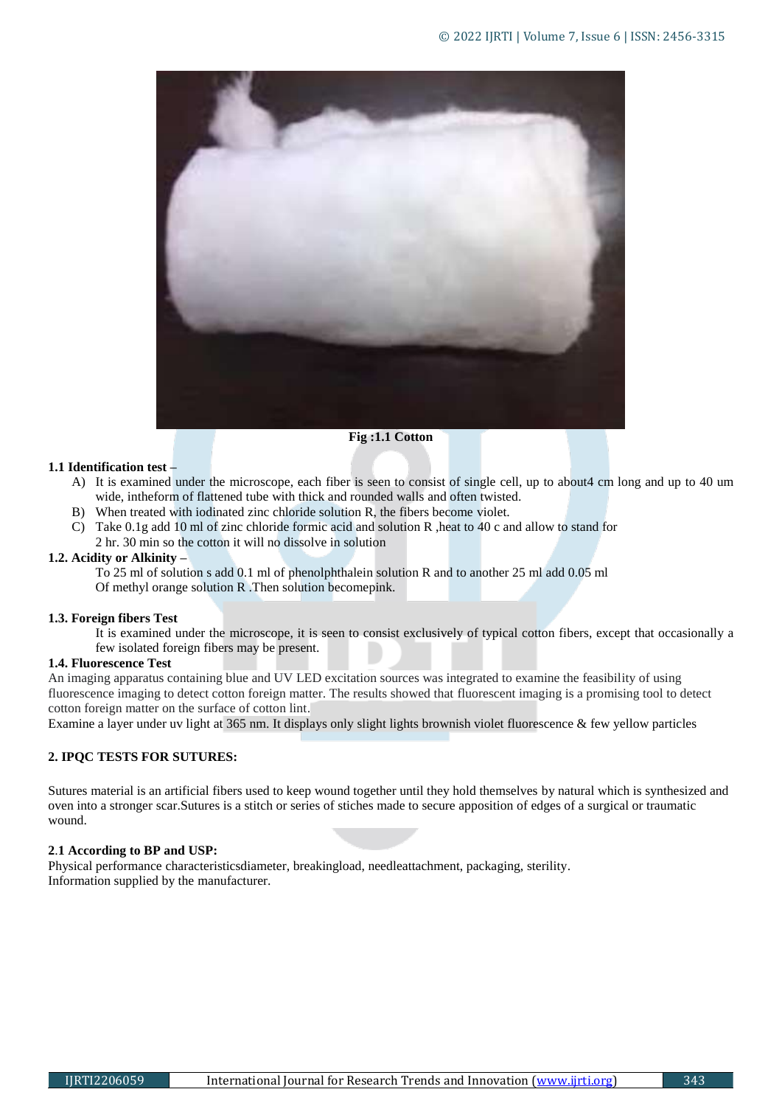

# **Fig :1.1 Cotton**

# **1.1 Identification test –**

- A) It is examined under the microscope, each fiber is seen to consist of single cell, up to about4 cm long and up to 40 um wide, intheform of flattened tube with thick and rounded walls and often twisted.
- B) When treated with iodinated zinc chloride solution R, the fibers become violet.
- C) Take 0.1g add 10 ml of zinc chloride formic acid and solution R ,heat to 40 c and allow to stand for 2 hr. 30 min so the cotton it will no dissolve in solution

# **1.2. Acidity or Alkinity –**

To 25 ml of solution s add 0.1 ml of phenolphthalein solution R and to another 25 ml add 0.05 ml Of methyl orange solution R .Then solution becomepink.

## **1.3. Foreign fibers Test**

It is examined under the microscope, it is seen to consist exclusively of typical cotton fibers, except that occasionally a few isolated foreign fibers may be present.

## **1.4. Fluorescence Test**

An imaging apparatus containing blue and UV LED excitation sources was integrated to examine the feasibility of using fluorescence imaging to detect cotton foreign matter. The results showed that fluorescent imaging is a promising tool to detect cotton foreign matter on the surface of cotton lint.

Examine a layer under uv light at 365 nm. It displays only slight lights brownish violet fluorescence & few yellow particles

# **2. IPQC TESTS FOR SUTURES:**

Sutures material is an artificial fibers used to keep wound together until they hold themselves by natural which is synthesized and oven into a stronger scar.Sutures is a stitch or series of stiches made to secure apposition of edges of a surgical or traumatic wound.

# **2**.**1 According to BP and USP:**

Physical performance characteristicsdiameter, breakingload, needleattachment, packaging, sterility. Information supplied by the manufacturer.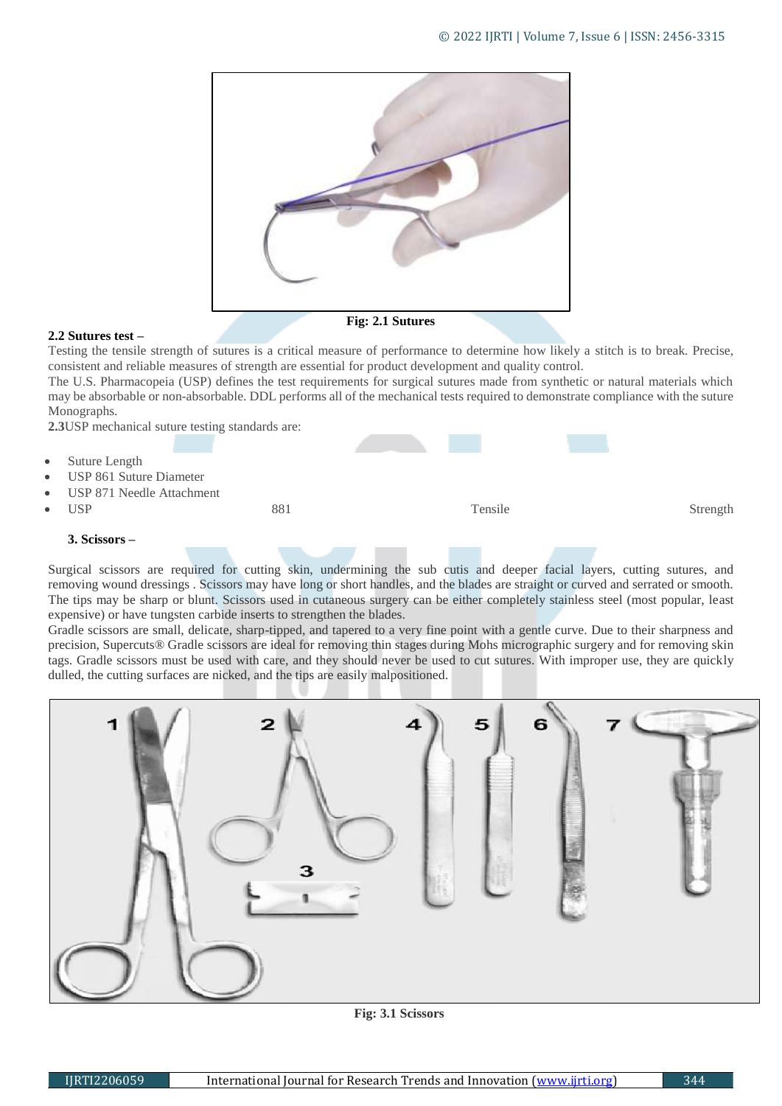

# **2.2 Sutures test –**

**Fig: 2.1 Sutures**

Testing the tensile strength of sutures is a critical measure of performance to determine how likely a stitch is to break. Precise, consistent and reliable measures of strength are essential for product development and quality control.

The U.S. Pharmacopeia (USP) defines the test requirements for surgical sutures made from synthetic or natural materials which may be absorbable or non-absorbable. DDL performs all of the mechanical tests required to demonstrate compliance with the suture Monographs.

**2.3**USP mechanical suture testing standards are:

 Suture Length USP 861 Suture Diameter USP 871 Needle Attachment • USP 881 Strength Strength Strength Strength Strength Strength Strength Strength Strength Strength Strength Strength Strength Strength Strength Strength Strength Strength Strength Strength Strength Strength Strength Stren

# **3. Scissors –**

Surgical scissors are required for cutting skin, undermining the [sub cutis](https://www.sciencedirect.com/topics/medicine-and-dentistry/subcutaneous-tissue) and deeper facial layers, cutting sutures, and removing [wound dressings](https://www.sciencedirect.com/topics/medicine-and-dentistry/wound-dressings) . Scissors may have long or short handles, and the blades are straight or curved and serrated or smooth. The tips may be sharp or blunt. Scissors used in cutaneous surgery can be either completely stainless steel (most popular, least expensive) or have [tungsten](https://www.sciencedirect.com/topics/medicine-and-dentistry/tungsten) carbide inserts to strengthen the blades.

Gradle scissors are small, delicate, sharp-tipped, and tapered to a very fine point with a gentle curve. Due to their sharpness and precision, Supercuts® Gradle scissors are ideal for removing thin stages during [Mohs micrographic surgery](https://www.sciencedirect.com/topics/medicine-and-dentistry/mohs-surgery) and for removing skin tags. Gradle scissors must be used with care, and they should never be used to cut sutures. With improper use, they are quickly dulled, the cutting surfaces are nicked, and the tips are easily malpositioned.



**Fig: 3.1 Scissors**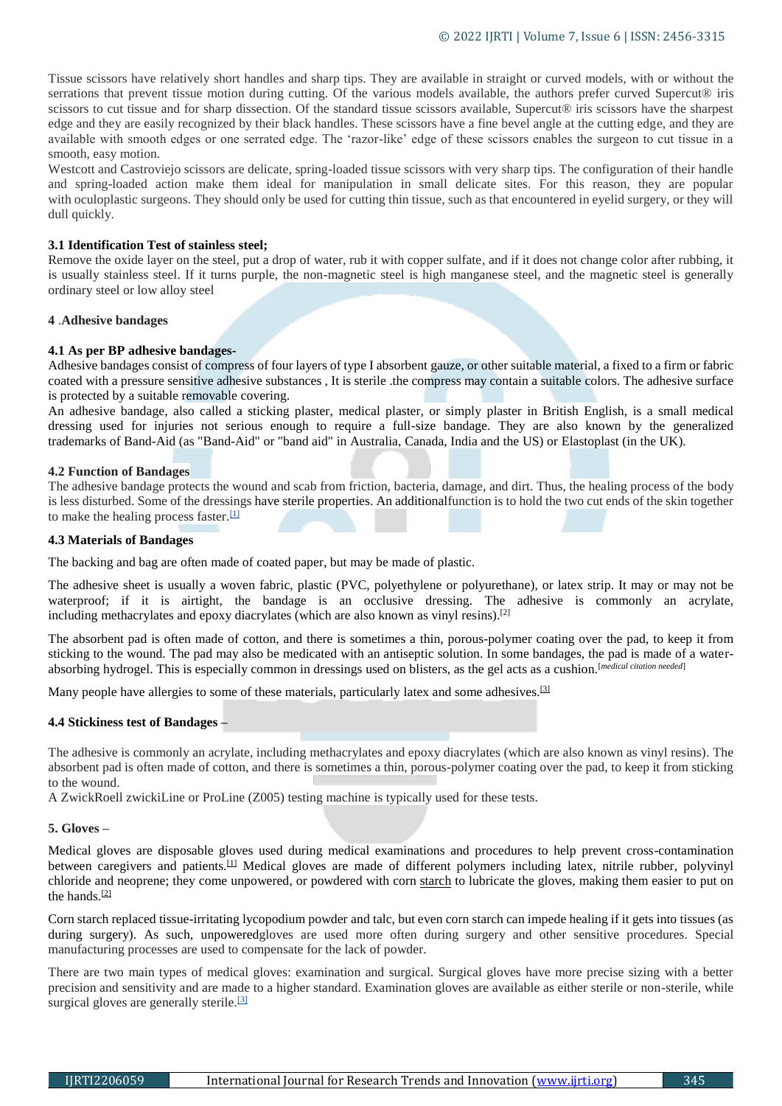Tissue scissors have relatively short handles and sharp tips. They are available in straight or curved models, with or without the serrations that prevent tissue motion during cutting. Of the various models available, the authors prefer curved Supercut® iris [scissors](https://www.sciencedirect.com/topics/medicine-and-dentistry/iris-scissors) to cut tissue and for sharp dissection. Of the standard tissue scissors available, Supercut® iris scissors have the sharpest edge and they are easily recognized by their black handles. These scissors have a fine bevel angle at the cutting edge, and they are available with smooth edges or one serrated edge. The 'razor-like' edge of these scissors enables the surgeon to cut tissue in a smooth, easy motion.

Westcott and Castroviejo scissors are delicate, spring-loaded tissue scissors with very sharp tips. The configuration of their handle and spring-loaded action make them ideal for manipulation in small delicate sites. For this reason, they are popular with [oculoplastic](https://www.sciencedirect.com/topics/medicine-and-dentistry/oculoplastics) surgeons. They should only be used for cutting thin tissue, such as that encountered in eyelid surgery, or they will dull quickly.

## **3.1 Identification Test of stainless steel;**

Remove the oxide layer on the steel, put a drop of water, rub it with copper sulfate, and if it does not change color after rubbing, it is usually stainless steel. If it turns purple, the non-magnetic steel is high manganese steel, and the magnetic steel is generally ordinary steel or low alloy steel

## **4** .**Adhesive bandages**

## **4.1 As per BP adhesive bandages-**

Adhesive bandages consist of compress of four layers of type I absorbent gauze, or other suitable material, a fixed to a firm or fabric coated with a pressure sensitive adhesive substances , It is sterile .the compress may contain a suitable colors. The adhesive surface is protected by a suitable removable covering.

An adhesive bandage, also called a sticking plaster, medical plaster, or simply plaster in [British English,](https://en.wikipedia.org/wiki/British_English) is a small [medical](https://en.wikipedia.org/wiki/Dressing_(medical))  [dressing](https://en.wikipedia.org/wiki/Dressing_(medical)) used for injuries not serious enough to require a full-size [bandage.](https://en.wikipedia.org/wiki/Bandage) They are also known by the [generalized](https://en.wikipedia.org/wiki/Genericized_trademark) [trademarks](https://en.wikipedia.org/wiki/Genericized_trademark) of [Band-Aid](https://en.wikipedia.org/wiki/Band-Aid) (as "Band-Aid" or "band aid" in Australia, Canada, India and the US) or [Elastoplast](https://en.wikipedia.org/wiki/Elastoplast) (in the UK).

## **4.2 Function of Bandages**

The adhesive bandage protects the wound and scab from friction, bacteria, damage, and dirt. Thus, the healing process of the body is less disturbed. Some of the dressings have [sterile](https://en.wikipedia.org/wiki/Antiseptic) properties. An additionalfunction is to hold the two cut ends of the skin together to make the healing process faster. $[1]$ 

## **4.3 Materials of Bandages**

The backing and bag are often made of [coated paper,](https://en.wikipedia.org/wiki/Coated_paper) but may be made of plastic.

The adhesive sheet is usually a woven fabric, plastic [\(PVC,](https://en.wikipedia.org/wiki/PVC) [polyethylene](https://en.wikipedia.org/wiki/Polyethylene) or [polyurethane\)](https://en.wikipedia.org/wiki/Polyurethane), or [latex](https://en.wikipedia.org/wiki/Latex) strip. It may or may not be waterproof; if it is airtight, the bandage is an [occlusive dressing.](https://en.wikipedia.org/wiki/Occlusive_dressing) The adhesive is commonly an [acrylate,](https://en.wikipedia.org/wiki/Acrylate) including [methacrylates](https://en.wikipedia.org/wiki/Methacrylates) and [epoxy](https://en.wikipedia.org/wiki/Epoxy) diacrylates (which are also known as vinyl resins).<sup>[\[2\]](https://en.wikipedia.org/wiki/Adhesive_bandage#cite_note-2)</sup>

The absorbent pad is often made of [cotton,](https://en.wikipedia.org/wiki/Cotton) and there is sometimes a thin, porous-polymer coating over the pad, to keep it from sticking to the wound. The pad may also be medicated with an antiseptic solution. In some bandages, the pad is made of a waterabsorbing [hydrogel.](https://en.wikipedia.org/wiki/Hydrogel) This is especially common in dressings used on blisters, as the gel acts as a cushion.[*[medical citation needed](https://en.wikipedia.org/wiki/Wikipedia:Identifying_reliable_sources_(medicine))*]

Many people have [allergies](https://en.wikipedia.org/wiki/Allergies) to some of these materials, particularly [latex](https://en.wikipedia.org/wiki/Latex_allergy) and some adhesives.<sup>[\[3\]](https://en.wikipedia.org/wiki/Adhesive_bandage#cite_note-3)</sup>

# **4.4 Stickiness test of Bandages –**

The adhesive is commonly an acrylate, including methacrylates and epoxy diacrylates (which are also known as vinyl resins). The absorbent pad is often made of cotton, and there is sometimes a thin, porous-polymer coating over the pad, to keep it from sticking to the wound.

A ZwickRoell zwickiLine or ProLine (Z005) testing machine is typically used for these tests.

## **5. Gloves –**

Medical gloves are disposable [gloves](https://en.wikipedia.org/wiki/Glove) used during medical examinations and procedures to help prevent cross-contamination between caregivers and patients.<sup>[\[1\]](https://en.wikipedia.org/wiki/Medical_glove#cite_note-1)</sup> Medical gloves are made of different polymers including [latex,](https://en.wikipedia.org/wiki/Natural_rubber) [nitrile rubber,](https://en.wikipedia.org/wiki/Nitrile_rubber) polyvinyl [chloride](https://en.wikipedia.org/wiki/Polyvinyl_chloride) and [neoprene;](https://en.wikipedia.org/wiki/Neoprene) they come unpowered, or powdered with [corn starch](https://en.wikipedia.org/wiki/Corn_starch) to lubricate the gloves, making them easier to put on the hands.[\[2\]](https://en.wikipedia.org/wiki/Medical_glove#cite_note-2)

Corn starch replaced tissue-irritating [lycopodium powder](https://en.wikipedia.org/wiki/Lycopodium_powder) and talc, but even corn starch can impede healing if it gets into tissues (as during surgery). As such, unpoweredgloves are used more often during surgery and other sensitive procedures. Special manufacturing processes are used to compensate for the lack of powder.

There are two main types of medical gloves: examination and surgical. Surgical gloves have more precise sizing with a better precision and sensitivity and are made to a higher standard. Examination gloves are available as either sterile or non-sterile, while surgical gloves are generally sterile.<sup>[\[3\]](https://en.wikipedia.org/wiki/Medical_glove#cite_note-3)</sup>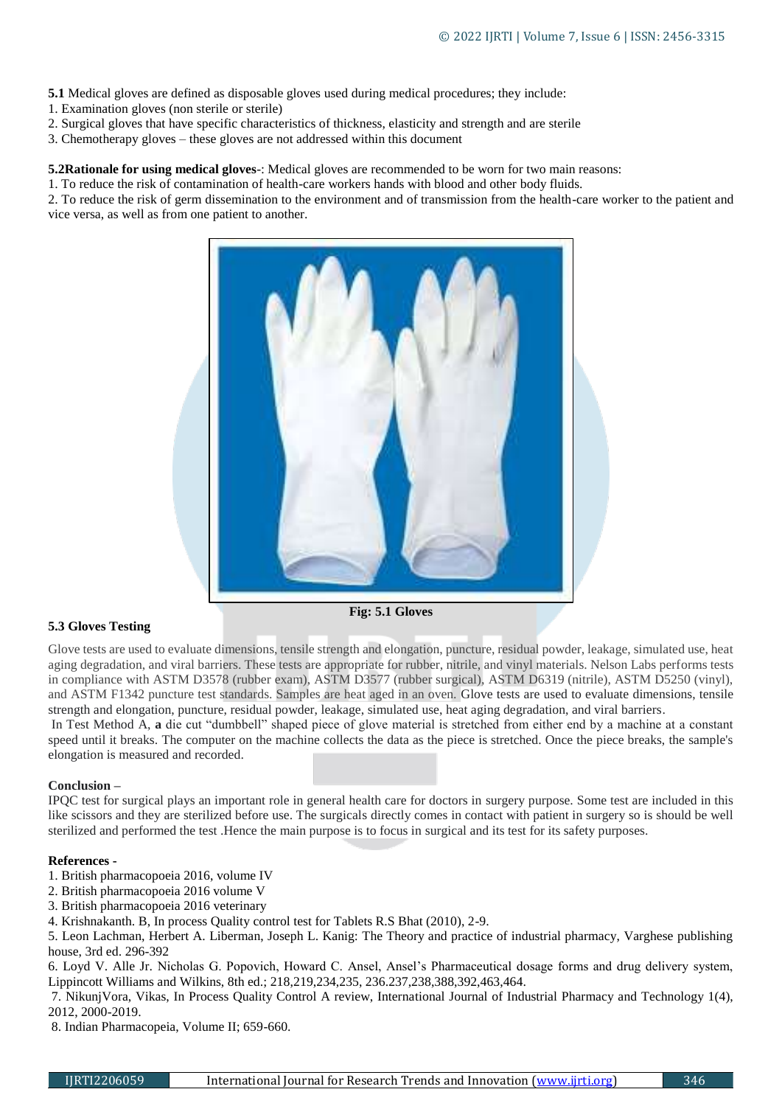**5.1** Medical gloves are defined as disposable gloves used during medical procedures; they include:

- 1. Examination gloves (non sterile or sterile)
- 2. Surgical gloves that have specific characteristics of thickness, elasticity and strength and are sterile
- 3. Chemotherapy gloves these gloves are not addressed within this document

**5.2Rationale for using medical gloves**-: Medical gloves are recommended to be worn for two main reasons:

1. To reduce the risk of contamination of health-care workers hands with blood and other body fluids.

2. To reduce the risk of germ dissemination to the environment and of transmission from the health-care worker to the patient and vice versa, as well as from one patient to another.



# **5.3 Gloves Testing**

**Fig: 5.1 Gloves**

Glove tests are used to evaluate dimensions, tensile strength and elongation, puncture, residual powder, leakage, simulated use, heat aging degradation, and viral barriers. These tests are appropriate for rubber, nitrile, and vinyl materials. Nelson Labs performs tests in compliance with ASTM D3578 (rubber exam), ASTM D3577 (rubber surgical), ASTM D6319 (nitrile), ASTM D5250 (vinyl), and ASTM F1342 puncture test standards. Samples are heat aged in an oven. Glove tests are used to evaluate dimensions, tensile strength and elongation, puncture, residual powder, leakage, simulated use, heat aging degradation, and viral barriers.

In Test Method A, **a** die cut "dumbbell" shaped piece of glove material is stretched from either end by a machine at a constant speed until it breaks. The computer on the machine collects the data as the piece is stretched. Once the piece breaks, the sample's elongation is measured and recorded.

# **Conclusion –**

IPQC test for surgical plays an important role in general health care for doctors in surgery purpose. Some test are included in this like scissors and they are sterilized before use. The surgicals directly comes in contact with patient in surgery so is should be well sterilized and performed the test .Hence the main purpose is to focus in surgical and its test for its safety purposes.

# **References -**

- 1. British pharmacopoeia 2016, volume IV
- 2. British pharmacopoeia 2016 volume V
- 3. British pharmacopoeia 2016 veterinary
- 4. Krishnakanth. B, In process Quality control test for Tablets R.S Bhat (2010), 2-9.

5. Leon Lachman, Herbert A. Liberman, Joseph L. Kanig: The Theory and practice of industrial pharmacy, Varghese publishing house, 3rd ed. 296-392

6. Loyd V. Alle Jr. Nicholas G. Popovich, Howard C. Ansel, Ansel's Pharmaceutical dosage forms and drug delivery system, Lippincott Williams and Wilkins, 8th ed.; 218,219,234,235, 236.237,238,388,392,463,464.

7. NikunjVora, Vikas, In Process Quality Control A review, International Journal of Industrial Pharmacy and Technology 1(4), 2012, 2000-2019.

8. Indian Pharmacopeia, Volume II; 659-660.